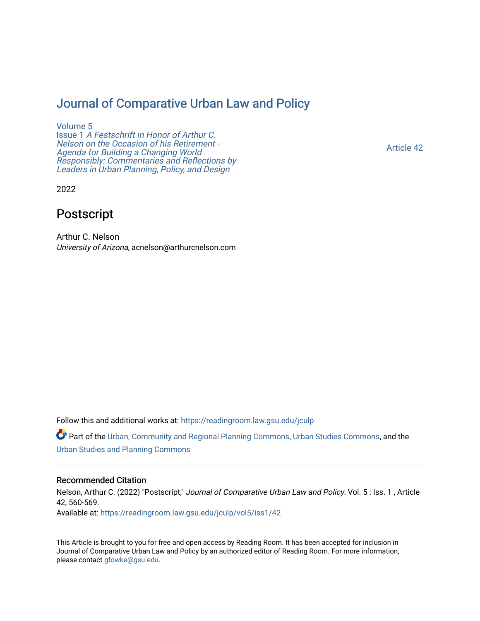# [Journal of Comparative Urban Law and Policy](https://readingroom.law.gsu.edu/jculp)

[Volume 5](https://readingroom.law.gsu.edu/jculp/vol5) Issue 1 [A Festschrift in Honor of Arthur C.](https://readingroom.law.gsu.edu/jculp/vol5/iss1) [Nelson on the Occasion of his Retirement -](https://readingroom.law.gsu.edu/jculp/vol5/iss1)  [Agenda for Building a Changing World](https://readingroom.law.gsu.edu/jculp/vol5/iss1)  [Responsibly: Commentaries and Reflections by](https://readingroom.law.gsu.edu/jculp/vol5/iss1) [Leaders in Urban Planning, Policy, and Design](https://readingroom.law.gsu.edu/jculp/vol5/iss1) 

[Article 42](https://readingroom.law.gsu.edu/jculp/vol5/iss1/42) 

2022

# Postscript

Arthur C. Nelson University of Arizona, acnelson@arthurcnelson.com

Follow this and additional works at: [https://readingroom.law.gsu.edu/jculp](https://readingroom.law.gsu.edu/jculp?utm_source=readingroom.law.gsu.edu%2Fjculp%2Fvol5%2Fiss1%2F42&utm_medium=PDF&utm_campaign=PDFCoverPages) 

Part of the [Urban, Community and Regional Planning Commons](http://network.bepress.com/hgg/discipline/776?utm_source=readingroom.law.gsu.edu%2Fjculp%2Fvol5%2Fiss1%2F42&utm_medium=PDF&utm_campaign=PDFCoverPages), [Urban Studies Commons](http://network.bepress.com/hgg/discipline/402?utm_source=readingroom.law.gsu.edu%2Fjculp%2Fvol5%2Fiss1%2F42&utm_medium=PDF&utm_campaign=PDFCoverPages), and the [Urban Studies and Planning Commons](http://network.bepress.com/hgg/discipline/436?utm_source=readingroom.law.gsu.edu%2Fjculp%2Fvol5%2Fiss1%2F42&utm_medium=PDF&utm_campaign=PDFCoverPages) 

## Recommended Citation

Nelson, Arthur C. (2022) "Postscript," Journal of Comparative Urban Law and Policy: Vol. 5 : Iss. 1 , Article 42, 560-569. Available at: [https://readingroom.law.gsu.edu/jculp/vol5/iss1/42](https://readingroom.law.gsu.edu/jculp/vol5/iss1/42?utm_source=readingroom.law.gsu.edu%2Fjculp%2Fvol5%2Fiss1%2F42&utm_medium=PDF&utm_campaign=PDFCoverPages)

This Article is brought to you for free and open access by Reading Room. It has been accepted for inclusion in Journal of Comparative Urban Law and Policy by an authorized editor of Reading Room. For more information, please contact [gfowke@gsu.edu](mailto:gfowke@gsu.edu).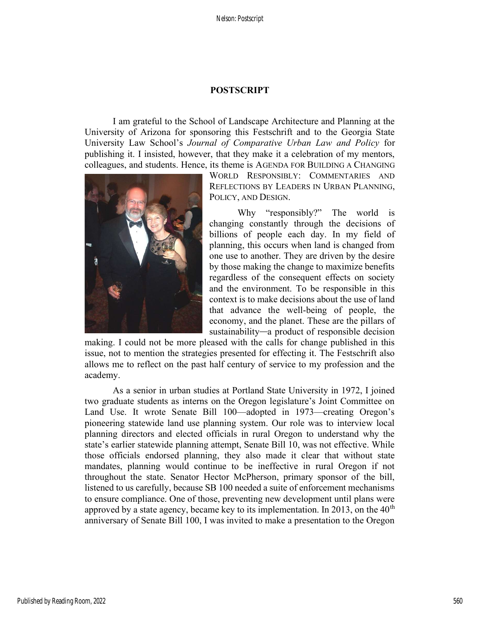# POSTSCRIPT

I am grateful to the School of Landscape Architecture and Planning at the University of Arizona for sponsoring this Festschrift and to the Georgia State University Law School's Journal of Comparative Urban Law and Policy for publishing it. I insisted, however, that they make it a celebration of my mentors, colleagues, and students. Hence, its theme is AGENDA FOR BUILDING A CHANGING



WORLD RESPONSIBLY: COMMENTARIES AND REFLECTIONS BY LEADERS IN URBAN PLANNING, POLICY, AND DESIGN.

Why "responsibly?" The world is changing constantly through the decisions of billions of people each day. In my field of planning, this occurs when land is changed from one use to another. They are driven by the desire by those making the change to maximize benefits regardless of the consequent effects on society and the environment. To be responsible in this context is to make decisions about the use of land that advance the well-being of people, the economy, and the planet. These are the pillars of sustainability—a product of responsible decision

making. I could not be more pleased with the calls for change published in this issue, not to mention the strategies presented for effecting it. The Festschrift also allows me to reflect on the past half century of service to my profession and the academy.

As a senior in urban studies at Portland State University in 1972, I joined two graduate students as interns on the Oregon legislature's Joint Committee on Land Use. It wrote Senate Bill 100—adopted in 1973—creating Oregon's pioneering statewide land use planning system. Our role was to interview local planning directors and elected officials in rural Oregon to understand why the state's earlier statewide planning attempt, Senate Bill 10, was not effective. While those officials endorsed planning, they also made it clear that without state mandates, planning would continue to be ineffective in rural Oregon if not throughout the state. Senator Hector McPherson, primary sponsor of the bill, listened to us carefully, because SB 100 needed a suite of enforcement mechanisms to ensure compliance. One of those, preventing new development until plans were approved by a state agency, became key to its implementation. In 2013, on the  $40<sup>th</sup>$ anniversary of Senate Bill 100, I was invited to make a presentation to the Oregon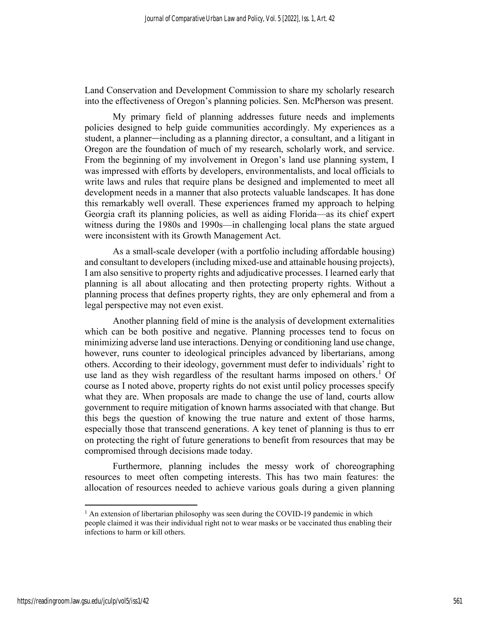Land Conservation and Development Commission to share my scholarly research into the effectiveness of Oregon's planning policies. Sen. McPherson was present.

My primary field of planning addresses future needs and implements policies designed to help guide communities accordingly. My experiences as a student, a planner—including as a planning director, a consultant, and a litigant in Oregon are the foundation of much of my research, scholarly work, and service. From the beginning of my involvement in Oregon's land use planning system, I was impressed with efforts by developers, environmentalists, and local officials to write laws and rules that require plans be designed and implemented to meet all development needs in a manner that also protects valuable landscapes. It has done this remarkably well overall. These experiences framed my approach to helping Georgia craft its planning policies, as well as aiding Florida—as its chief expert witness during the 1980s and 1990s—in challenging local plans the state argued were inconsistent with its Growth Management Act.

As a small-scale developer (with a portfolio including affordable housing) and consultant to developers (including mixed-use and attainable housing projects), I am also sensitive to property rights and adjudicative processes. I learned early that planning is all about allocating and then protecting property rights. Without a planning process that defines property rights, they are only ephemeral and from a legal perspective may not even exist.

Another planning field of mine is the analysis of development externalities which can be both positive and negative. Planning processes tend to focus on minimizing adverse land use interactions. Denying or conditioning land use change, however, runs counter to ideological principles advanced by libertarians, among others. According to their ideology, government must defer to individuals' right to use land as they wish regardless of the resultant harms imposed on others.<sup>1</sup> Of course as I noted above, property rights do not exist until policy processes specify what they are. When proposals are made to change the use of land, courts allow government to require mitigation of known harms associated with that change. But this begs the question of knowing the true nature and extent of those harms, especially those that transcend generations. A key tenet of planning is thus to err on protecting the right of future generations to benefit from resources that may be compromised through decisions made today.

Furthermore, planning includes the messy work of choreographing resources to meet often competing interests. This has two main features: the allocation of resources needed to achieve various goals during a given planning

<sup>&</sup>lt;sup>1</sup> An extension of libertarian philosophy was seen during the COVID-19 pandemic in which people claimed it was their individual right not to wear masks or be vaccinated thus enabling their infections to harm or kill others.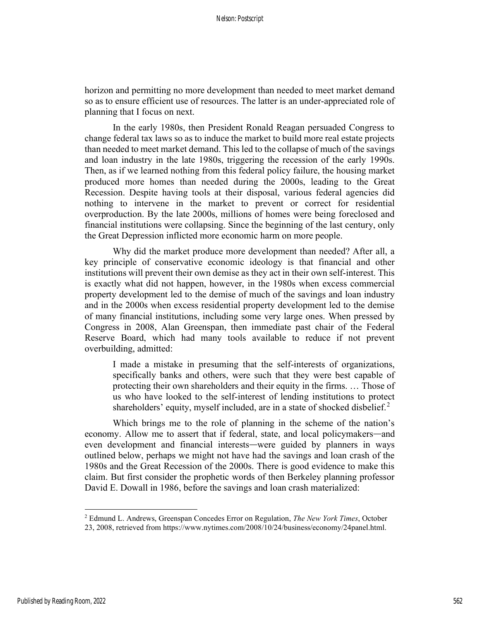horizon and permitting no more development than needed to meet market demand so as to ensure efficient use of resources. The latter is an under-appreciated role of planning that I focus on next.

In the early 1980s, then President Ronald Reagan persuaded Congress to change federal tax laws so as to induce the market to build more real estate projects than needed to meet market demand. This led to the collapse of much of the savings and loan industry in the late 1980s, triggering the recession of the early 1990s. Then, as if we learned nothing from this federal policy failure, the housing market produced more homes than needed during the 2000s, leading to the Great Recession. Despite having tools at their disposal, various federal agencies did nothing to intervene in the market to prevent or correct for residential overproduction. By the late 2000s, millions of homes were being foreclosed and financial institutions were collapsing. Since the beginning of the last century, only the Great Depression inflicted more economic harm on more people.

Why did the market produce more development than needed? After all, a key principle of conservative economic ideology is that financial and other institutions will prevent their own demise as they act in their own self-interest. This is exactly what did not happen, however, in the 1980s when excess commercial property development led to the demise of much of the savings and loan industry and in the 2000s when excess residential property development led to the demise of many financial institutions, including some very large ones. When pressed by Congress in 2008, Alan Greenspan, then immediate past chair of the Federal Reserve Board, which had many tools available to reduce if not prevent overbuilding, admitted:

I made a mistake in presuming that the self-interests of organizations, specifically banks and others, were such that they were best capable of protecting their own shareholders and their equity in the firms. … Those of us who have looked to the self-interest of lending institutions to protect shareholders' equity, myself included, are in a state of shocked disbelief. $2$ 

Which brings me to the role of planning in the scheme of the nation's economy. Allow me to assert that if federal, state, and local policymakers—and even development and financial interests—were guided by planners in ways outlined below, perhaps we might not have had the savings and loan crash of the 1980s and the Great Recession of the 2000s. There is good evidence to make this claim. But first consider the prophetic words of then Berkeley planning professor David E. Dowall in 1986, before the savings and loan crash materialized:

<sup>&</sup>lt;sup>2</sup> Edmund L. Andrews, Greenspan Concedes Error on Regulation, *The New York Times*, October

<sup>23, 2008,</sup> retrieved from https://www.nytimes.com/2008/10/24/business/economy/24panel.html.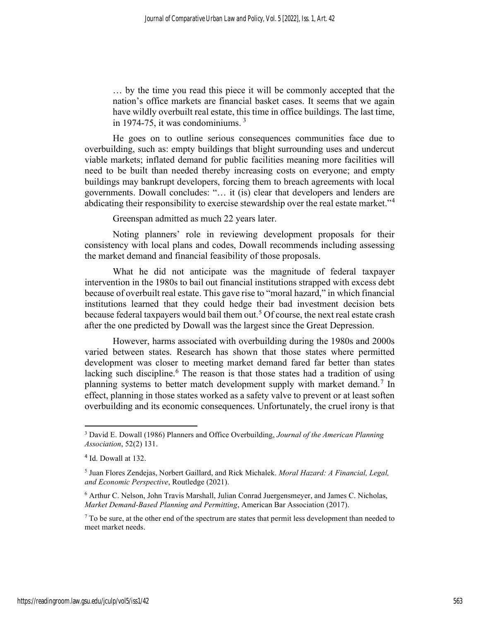… by the time you read this piece it will be commonly accepted that the nation's office markets are financial basket cases. It seems that we again have wildly overbuilt real estate, this time in office buildings. The last time, in 1974-75, it was condominiums.  $3\overline{ }$ 

He goes on to outline serious consequences communities face due to overbuilding, such as: empty buildings that blight surrounding uses and undercut viable markets; inflated demand for public facilities meaning more facilities will need to be built than needed thereby increasing costs on everyone; and empty buildings may bankrupt developers, forcing them to breach agreements with local governments. Dowall concludes: "… it (is) clear that developers and lenders are abdicating their responsibility to exercise stewardship over the real estate market."<sup>4</sup>

Greenspan admitted as much 22 years later.

Noting planners' role in reviewing development proposals for their consistency with local plans and codes, Dowall recommends including assessing the market demand and financial feasibility of those proposals.

What he did not anticipate was the magnitude of federal taxpayer intervention in the 1980s to bail out financial institutions strapped with excess debt because of overbuilt real estate. This gave rise to "moral hazard," in which financial institutions learned that they could hedge their bad investment decision bets because federal taxpayers would bail them out.<sup>5</sup> Of course, the next real estate crash after the one predicted by Dowall was the largest since the Great Depression.

However, harms associated with overbuilding during the 1980s and 2000s varied between states. Research has shown that those states where permitted development was closer to meeting market demand fared far better than states lacking such discipline.<sup>6</sup> The reason is that those states had a tradition of using planning systems to better match development supply with market demand.<sup>7</sup> In effect, planning in those states worked as a safety valve to prevent or at least soften overbuilding and its economic consequences. Unfortunately, the cruel irony is that

<sup>&</sup>lt;sup>3</sup> David E. Dowall (1986) Planners and Office Overbuilding, Journal of the American Planning Association, 52(2) 131.

<sup>4</sup> Id. Dowall at 132.

<sup>&</sup>lt;sup>5</sup> Juan Flores Zendejas, Norbert Gaillard, and Rick Michalek. Moral Hazard: A Financial, Legal, and Economic Perspective, Routledge (2021).

<sup>6</sup> Arthur C. Nelson, John Travis Marshall, Julian Conrad Juergensmeyer, and James C. Nicholas, Market Demand-Based Planning and Permitting, American Bar Association (2017).

 $7$  To be sure, at the other end of the spectrum are states that permit less development than needed to meet market needs.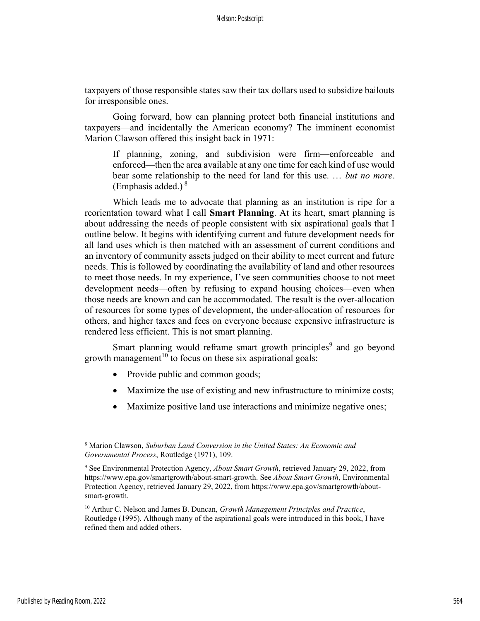taxpayers of those responsible states saw their tax dollars used to subsidize bailouts for irresponsible ones.

Going forward, how can planning protect both financial institutions and taxpayers—and incidentally the American economy? The imminent economist Marion Clawson offered this insight back in 1971:

If planning, zoning, and subdivision were firm—enforceable and enforced—then the area available at any one time for each kind of use would bear some relationship to the need for land for this use. ... but no more. (Emphasis added.) $8$ 

Which leads me to advocate that planning as an institution is ripe for a reorientation toward what I call **Smart Planning**. At its heart, smart planning is about addressing the needs of people consistent with six aspirational goals that I outline below. It begins with identifying current and future development needs for all land uses which is then matched with an assessment of current conditions and an inventory of community assets judged on their ability to meet current and future needs. This is followed by coordinating the availability of land and other resources to meet those needs. In my experience, I've seen communities choose to not meet development needs—often by refusing to expand housing choices—even when those needs are known and can be accommodated. The result is the over-allocation of resources for some types of development, the under-allocation of resources for others, and higher taxes and fees on everyone because expensive infrastructure is rendered less efficient. This is not smart planning.

Smart planning would reframe smart growth principles<sup>9</sup> and go beyond growth management<sup>10</sup> to focus on these six aspirational goals:

- Provide public and common goods;
- Maximize the use of existing and new infrastructure to minimize costs;
- Maximize positive land use interactions and minimize negative ones;

<sup>&</sup>lt;sup>8</sup> Marion Clawson, Suburban Land Conversion in the United States: An Economic and Governmental Process, Routledge (1971), 109.

<sup>&</sup>lt;sup>9</sup> See Environmental Protection Agency, *About Smart Growth*, retrieved January 29, 2022, from https://www.epa.gov/smartgrowth/about-smart-growth. See About Smart Growth, Environmental Protection Agency, retrieved January 29, 2022, from https://www.epa.gov/smartgrowth/aboutsmart-growth.

<sup>&</sup>lt;sup>10</sup> Arthur C. Nelson and James B. Duncan, *Growth Management Principles and Practice*, Routledge (1995). Although many of the aspirational goals were introduced in this book, I have refined them and added others.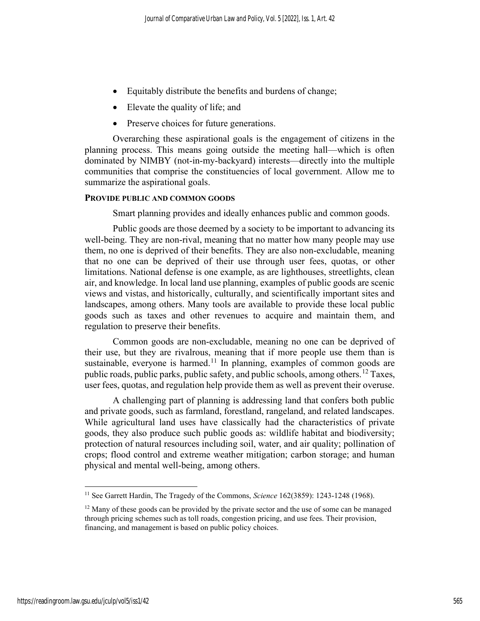- Equitably distribute the benefits and burdens of change;
- Elevate the quality of life; and
- Preserve choices for future generations.

Overarching these aspirational goals is the engagement of citizens in the planning process. This means going outside the meeting hall—which is often dominated by NIMBY (not-in-my-backyard) interests—directly into the multiple communities that comprise the constituencies of local government. Allow me to summarize the aspirational goals.

## PROVIDE PUBLIC AND COMMON GOODS

Smart planning provides and ideally enhances public and common goods.

Public goods are those deemed by a society to be important to advancing its well-being. They are non-rival, meaning that no matter how many people may use them, no one is deprived of their benefits. They are also non-excludable, meaning that no one can be deprived of their use through user fees, quotas, or other limitations. National defense is one example, as are lighthouses, streetlights, clean air, and knowledge. In local land use planning, examples of public goods are scenic views and vistas, and historically, culturally, and scientifically important sites and landscapes, among others. Many tools are available to provide these local public goods such as taxes and other revenues to acquire and maintain them, and regulation to preserve their benefits.

Common goods are non-excludable, meaning no one can be deprived of their use, but they are rivalrous, meaning that if more people use them than is sustainable, everyone is harmed.<sup>11</sup> In planning, examples of common goods are public roads, public parks, public safety, and public schools, among others.<sup>12</sup> Taxes, user fees, quotas, and regulation help provide them as well as prevent their overuse.

A challenging part of planning is addressing land that confers both public and private goods, such as farmland, forestland, rangeland, and related landscapes. While agricultural land uses have classically had the characteristics of private goods, they also produce such public goods as: wildlife habitat and biodiversity; protection of natural resources including soil, water, and air quality; pollination of crops; flood control and extreme weather mitigation; carbon storage; and human physical and mental well-being, among others.

<sup>&</sup>lt;sup>11</sup> See Garrett Hardin, The Tragedy of the Commons, Science 162(3859): 1243-1248 (1968).

 $12$  Many of these goods can be provided by the private sector and the use of some can be managed through pricing schemes such as toll roads, congestion pricing, and use fees. Their provision, financing, and management is based on public policy choices.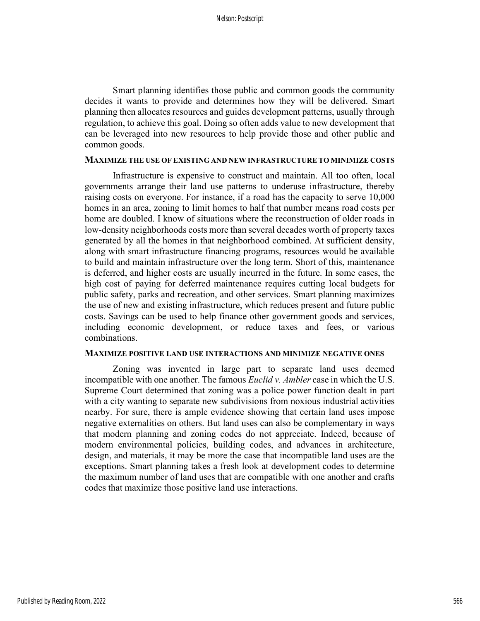Smart planning identifies those public and common goods the community decides it wants to provide and determines how they will be delivered. Smart planning then allocates resources and guides development patterns, usually through regulation, to achieve this goal. Doing so often adds value to new development that can be leveraged into new resources to help provide those and other public and common goods.

#### MAXIMIZE THE USE OF EXISTING AND NEW INFRASTRUCTURE TO MINIMIZE COSTS

Infrastructure is expensive to construct and maintain. All too often, local governments arrange their land use patterns to underuse infrastructure, thereby raising costs on everyone. For instance, if a road has the capacity to serve 10,000 homes in an area, zoning to limit homes to half that number means road costs per home are doubled. I know of situations where the reconstruction of older roads in low-density neighborhoods costs more than several decades worth of property taxes generated by all the homes in that neighborhood combined. At sufficient density, along with smart infrastructure financing programs, resources would be available to build and maintain infrastructure over the long term. Short of this, maintenance is deferred, and higher costs are usually incurred in the future. In some cases, the high cost of paying for deferred maintenance requires cutting local budgets for public safety, parks and recreation, and other services. Smart planning maximizes the use of new and existing infrastructure, which reduces present and future public costs. Savings can be used to help finance other government goods and services, including economic development, or reduce taxes and fees, or various combinations.

# MAXIMIZE POSITIVE LAND USE INTERACTIONS AND MINIMIZE NEGATIVE ONES

Zoning was invented in large part to separate land uses deemed incompatible with one another. The famous *Euclid v. Ambler* case in which the U.S. Supreme Court determined that zoning was a police power function dealt in part with a city wanting to separate new subdivisions from noxious industrial activities nearby. For sure, there is ample evidence showing that certain land uses impose negative externalities on others. But land uses can also be complementary in ways that modern planning and zoning codes do not appreciate. Indeed, because of modern environmental policies, building codes, and advances in architecture, design, and materials, it may be more the case that incompatible land uses are the exceptions. Smart planning takes a fresh look at development codes to determine the maximum number of land uses that are compatible with one another and crafts codes that maximize those positive land use interactions.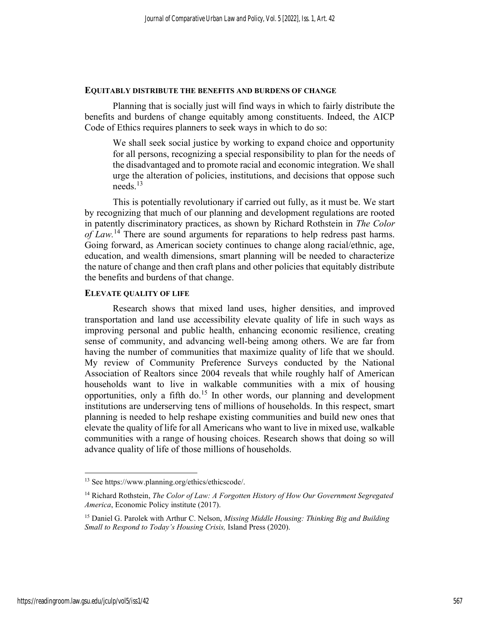#### EQUITABLY DISTRIBUTE THE BENEFITS AND BURDENS OF CHANGE

Planning that is socially just will find ways in which to fairly distribute the benefits and burdens of change equitably among constituents. Indeed, the AICP Code of Ethics requires planners to seek ways in which to do so:

We shall seek social justice by working to expand choice and opportunity for all persons, recognizing a special responsibility to plan for the needs of the disadvantaged and to promote racial and economic integration. We shall urge the alteration of policies, institutions, and decisions that oppose such needs.<sup>13</sup>

 This is potentially revolutionary if carried out fully, as it must be. We start by recognizing that much of our planning and development regulations are rooted in patently discriminatory practices, as shown by Richard Rothstein in The Color of Law.<sup>14</sup> There are sound arguments for reparations to help redress past harms. Going forward, as American society continues to change along racial/ethnic, age, education, and wealth dimensions, smart planning will be needed to characterize the nature of change and then craft plans and other policies that equitably distribute the benefits and burdens of that change.

# ELEVATE QUALITY OF LIFE

Research shows that mixed land uses, higher densities, and improved transportation and land use accessibility elevate quality of life in such ways as improving personal and public health, enhancing economic resilience, creating sense of community, and advancing well-being among others. We are far from having the number of communities that maximize quality of life that we should. My review of Community Preference Surveys conducted by the National Association of Realtors since 2004 reveals that while roughly half of American households want to live in walkable communities with a mix of housing opportunities, only a fifth do.<sup>15</sup> In other words, our planning and development institutions are underserving tens of millions of households. In this respect, smart planning is needed to help reshape existing communities and build new ones that elevate the quality of life for all Americans who want to live in mixed use, walkable communities with a range of housing choices. Research shows that doing so will advance quality of life of those millions of households.

<sup>13</sup> See https://www.planning.org/ethics/ethicscode/.

<sup>&</sup>lt;sup>14</sup> Richard Rothstein, The Color of Law: A Forgotten History of How Our Government Segregated America, Economic Policy institute (2017).

<sup>&</sup>lt;sup>15</sup> Daniel G. Parolek with Arthur C. Nelson, *Missing Middle Housing: Thinking Big and Building* Small to Respond to Today's Housing Crisis, Island Press (2020).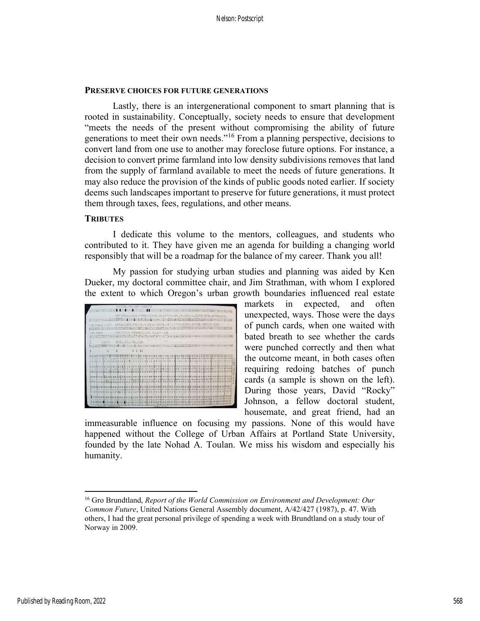#### PRESERVE CHOICES FOR FUTURE GENERATIONS

Lastly, there is an intergenerational component to smart planning that is rooted in sustainability. Conceptually, society needs to ensure that development "meets the needs of the present without compromising the ability of future generations to meet their own needs."<sup>16</sup> From a planning perspective, decisions to convert land from one use to another may foreclose future options. For instance, a decision to convert prime farmland into low density subdivisions removes that land from the supply of farmland available to meet the needs of future generations. It may also reduce the provision of the kinds of public goods noted earlier. If society deems such landscapes important to preserve for future generations, it must protect them through taxes, fees, regulations, and other means.

## **TRIBUTES**

 I dedicate this volume to the mentors, colleagues, and students who contributed to it. They have given me an agenda for building a changing world responsibly that will be a roadmap for the balance of my career. Thank you all!

 My passion for studying urban studies and planning was aided by Ken Dueker, my doctoral committee chair, and Jim Strathman, with whom I explored the extent to which Oregon's urban growth boundaries influenced real estate



markets in expected, and often unexpected, ways. Those were the days of punch cards, when one waited with bated breath to see whether the cards were punched correctly and then what the outcome meant, in both cases often requiring redoing batches of punch cards (a sample is shown on the left). During those years, David "Rocky" Johnson, a fellow doctoral student, housemate, and great friend, had an

immeasurable influence on focusing my passions. None of this would have happened without the College of Urban Affairs at Portland State University, founded by the late Nohad A. Toulan. We miss his wisdom and especially his humanity.

<sup>&</sup>lt;sup>16</sup> Gro Brundtland, Report of the World Commission on Environment and Development: Our Common Future, United Nations General Assembly document, A/42/427 (1987), p. 47. With others, I had the great personal privilege of spending a week with Brundtland on a study tour of Norway in 2009.